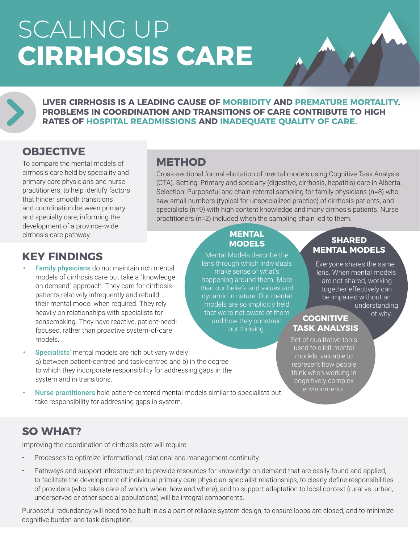# SCALING UP **CIRRHOSIS CARE**



**LIVER CIRRHOSIS IS A LEADING CAUSE OF MORBIDITY AND PREMATURE MORTALITY. PROBLEMS IN COORDINATION AND TRANSITIONS OF CARE CONTRIBUTE TO HIGH RATES OF HOSPITAL READMISSIONS AND INADEQUATE QUALITY OF CARE.** 

## **OBJECTIVE**

To compare the mental models of cirrhosis care held by speciality and primary care physicians and nurse practitioners, to help identify factors that hinder smooth transitions and coordination between primary and specialty care; informing the development of a province-wide cirrhosis care pathway.

## **METHOD**

Cross-sectional formal elicitation of mental models using Cognitive Task Analysis (CTA). Setting: Primary and specialty (digestive, cirrhosis, hepatitis) care in Alberta. Selection: Purposeful and chain-referral sampling for family physicians (n=8) who saw small numbers (typical for unspecialized practice) of cirrhosis patients, and specialists (n=9) with high content knowledge and many cirrhosis patients. Nurse practitioners (n=2) included when the sampling chain led to them.

> **MENTAL MODELS** Mental Models describe the lens through which individuals make sense of what's happening around them. More than our beliefs and values and dynamic in nature. Our mental models are so implicitly held that we're not aware of them and how they constrain our thinking.

## **KEY FINDINGS**

- Family physicians do not maintain rich mental models of cirrhosis care but take a "knowledge on demand" approach. They care for cirrhosis patients relatively infrequently and rebuild their mental model when required. They rely heavily on relationships with specialists for sensemaking. They have reactive, patient-needfocused, rather than proactive system-of-care models.
- Specialists' mental models are rich but vary widely a) between patient-centred and task-centred and b) in the degree to which they incorporate responsibility for addressing gaps in the system and in transitions.
- Nurse practitioners hold patient-centered mental models similar to specialists but take responsibility for addressing gaps in system.

## **SHARED MENTAL MODELS**

Everyone shares the same lens. When mental models are not shared, working together effectively can be impaired without an understanding of why.

## **COGNITIVE TASK ANALYSIS**

Set of qualitative tools used to elicit mental models; valuable to represent how people think when working in cognitively complex environments.

## **SO WHAT?**

Improving the coordination of cirrhosis care will require:

- Processes to optimize informational, relational and management continuity.
- Pathways and support infrastructure to provide resources for knowledge on demand that are easily found and applied, to facilitate the development of individual primary care physician-specialist relationships, to clearly define responsibilities of providers (who takes care of whom, when, how and where), and to support adaptation to local context (rural vs. urban, underserved or other special populations) will be integral components.

Purposeful redundancy will need to be built in as a part of reliable system design, to ensure loops are closed, and to minimize cognitive burden and task disruption.